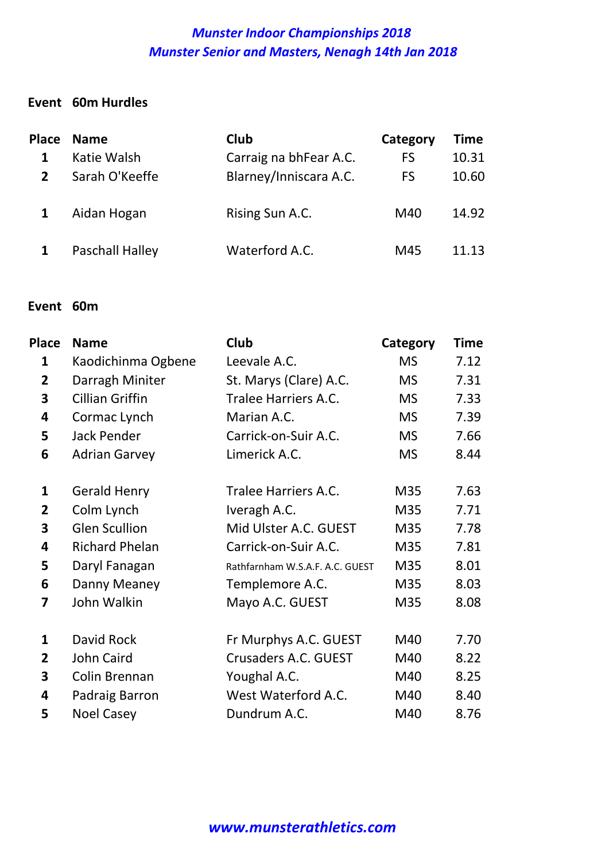#### Event 60m Hurdles

|                | Place Name      | <b>Club</b>            | Category  | <b>Time</b> |
|----------------|-----------------|------------------------|-----------|-------------|
|                | Katie Walsh     | Carraig na bhFear A.C. | <b>FS</b> | 10.31       |
| $\overline{2}$ | Sarah O'Keeffe  | Blarney/Inniscara A.C. | <b>FS</b> | 10.60       |
|                | Aidan Hogan     | Rising Sun A.C.        | M40       | 14.92       |
|                | Paschall Halley | Waterford A.C.         | M45       | 11.13       |

#### Event 60m

| Place                   | <b>Name</b>            | Club                            | Category  | <b>Time</b> |
|-------------------------|------------------------|---------------------------------|-----------|-------------|
| 1                       | Kaodichinma Ogbene     | Leevale A.C.                    | <b>MS</b> | 7.12        |
| $\overline{2}$          | Darragh Miniter        | St. Marys (Clare) A.C.          | <b>MS</b> | 7.31        |
| 3                       | <b>Cillian Griffin</b> | <b>Tralee Harriers A.C.</b>     | <b>MS</b> | 7.33        |
| 4                       | Cormac Lynch           | Marian A.C.                     | <b>MS</b> | 7.39        |
| 5                       | <b>Jack Pender</b>     | Carrick-on-Suir A.C.            | <b>MS</b> | 7.66        |
| 6                       | <b>Adrian Garvey</b>   | Limerick A.C.                   | <b>MS</b> | 8.44        |
| 1                       | <b>Gerald Henry</b>    | Tralee Harriers A.C.            | M35       | 7.63        |
| $\overline{\mathbf{2}}$ | Colm Lynch             | Iveragh A.C.                    | M35       | 7.71        |
| 3                       | <b>Glen Scullion</b>   | Mid Ulster A.C. GUEST           | M35       | 7.78        |
| 4                       | <b>Richard Phelan</b>  | Carrick-on-Suir A.C.            | M35       | 7.81        |
| 5                       | Daryl Fanagan          | Rathfarnham W.S.A.F. A.C. GUEST | M35       | 8.01        |
| 6                       | Danny Meaney           | Templemore A.C.                 | M35       | 8.03        |
| 7                       | John Walkin            | Mayo A.C. GUEST                 | M35       | 8.08        |
| $\mathbf{1}$            | David Rock             | Fr Murphys A.C. GUEST           | M40       | 7.70        |
| $\overline{2}$          | John Caird             | Crusaders A.C. GUEST            | M40       | 8.22        |
| 3                       | Colin Brennan          | Youghal A.C.                    | M40       | 8.25        |
| 4                       | Padraig Barron         | West Waterford A.C.             | M40       | 8.40        |
| 5                       | <b>Noel Casey</b>      | Dundrum A.C.                    | M40       | 8.76        |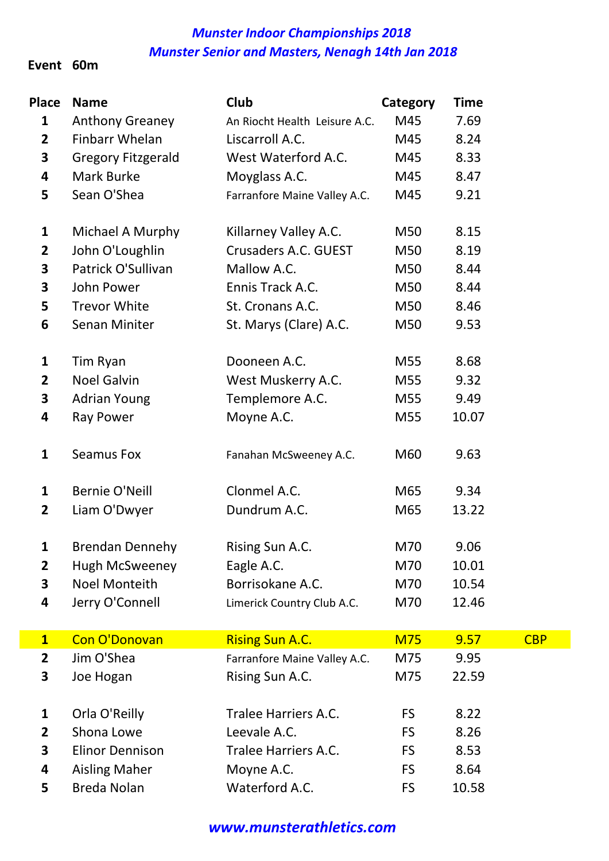#### Event 60m

| <b>Place</b>   | <b>Name</b>               | Club                          | Category   | <b>Time</b> |            |
|----------------|---------------------------|-------------------------------|------------|-------------|------------|
| $\mathbf{1}$   | <b>Anthony Greaney</b>    | An Riocht Health Leisure A.C. | M45        | 7.69        |            |
| $\overline{2}$ | Finbarr Whelan            | Liscarroll A.C.               | M45        | 8.24        |            |
| 3              | <b>Gregory Fitzgerald</b> | West Waterford A.C.           | M45        | 8.33        |            |
| 4              | Mark Burke                | Moyglass A.C.                 | M45        | 8.47        |            |
| 5              | Sean O'Shea               | Farranfore Maine Valley A.C.  | M45        | 9.21        |            |
| $\mathbf{1}$   | Michael A Murphy          | Killarney Valley A.C.         | M50        | 8.15        |            |
| $\mathbf{2}$   | John O'Loughlin           | Crusaders A.C. GUEST          | M50        | 8.19        |            |
| 3              | Patrick O'Sullivan        | Mallow A.C.                   | M50        | 8.44        |            |
| 3              | John Power                | Ennis Track A.C.              | M50        | 8.44        |            |
| 5              | <b>Trevor White</b>       | St. Cronans A.C.              | M50        | 8.46        |            |
| 6              | Senan Miniter             | St. Marys (Clare) A.C.        | M50        | 9.53        |            |
| 1              | Tim Ryan                  | Dooneen A.C.                  | M55        | 8.68        |            |
| $\mathbf{2}$   | <b>Noel Galvin</b>        | West Muskerry A.C.            | M55        | 9.32        |            |
| 3              | <b>Adrian Young</b>       | Templemore A.C.               | M55        | 9.49        |            |
| 4              | <b>Ray Power</b>          | Moyne A.C.                    | M55        | 10.07       |            |
| 1              | <b>Seamus Fox</b>         | Fanahan McSweeney A.C.        | M60        | 9.63        |            |
| $\mathbf{1}$   | Bernie O'Neill            | Clonmel A.C.                  | M65        | 9.34        |            |
| $\overline{2}$ | Liam O'Dwyer              | Dundrum A.C.                  | M65        | 13.22       |            |
| 1              | <b>Brendan Dennehy</b>    | Rising Sun A.C.               | M70        | 9.06        |            |
| $\overline{2}$ | <b>Hugh McSweeney</b>     | Eagle A.C.                    | M70        | 10.01       |            |
| 3              | <b>Noel Monteith</b>      | Borrisokane A.C.              | M70        | 10.54       |            |
| 4              | Jerry O'Connell           | Limerick Country Club A.C.    | M70        | 12.46       |            |
| $\mathbf{1}$   | Con O'Donovan             | <b>Rising Sun A.C.</b>        | <b>M75</b> | 9.57        | <b>CBP</b> |
| $\mathbf{2}$   | Jim O'Shea                | Farranfore Maine Valley A.C.  | M75        | 9.95        |            |
| 3              | Joe Hogan                 | Rising Sun A.C.               | M75        | 22.59       |            |
| 1              | Orla O'Reilly             | <b>Tralee Harriers A.C.</b>   | <b>FS</b>  | 8.22        |            |
| $\mathbf{2}$   | Shona Lowe                | Leevale A.C.                  | <b>FS</b>  | 8.26        |            |
| 3              | <b>Elinor Dennison</b>    | Tralee Harriers A.C.          | <b>FS</b>  | 8.53        |            |
| 4              | <b>Aisling Maher</b>      | Moyne A.C.                    | <b>FS</b>  | 8.64        |            |
| 5              | <b>Breda Nolan</b>        | Waterford A.C.                | <b>FS</b>  | 10.58       |            |

www.munsterathletics.com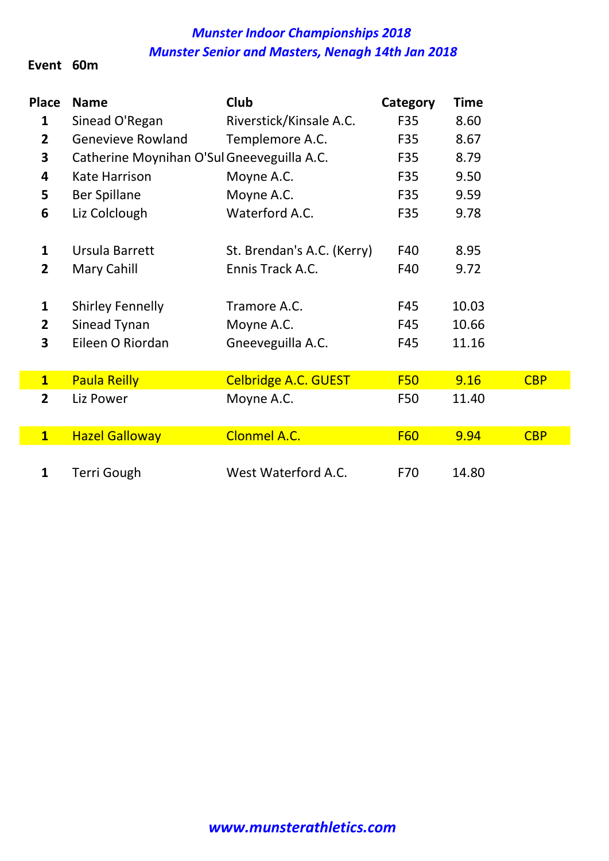#### Event 60m

| <b>Place</b>            | <b>Name</b>                                | Club                        |            | <b>Time</b> |            |
|-------------------------|--------------------------------------------|-----------------------------|------------|-------------|------------|
|                         |                                            |                             | Category   |             |            |
| 1                       | Sinead O'Regan                             | Riverstick/Kinsale A.C.     | F35        | 8.60        |            |
| $\overline{2}$          | <b>Genevieve Rowland</b>                   | Templemore A.C.             | F35        | 8.67        |            |
| 3                       | Catherine Moynihan O'Sul Gneeveguilla A.C. |                             | F35        | 8.79        |            |
| 4                       | Kate Harrison                              | Moyne A.C.                  | F35        | 9.50        |            |
| 5                       | <b>Ber Spillane</b>                        | Moyne A.C.                  | F35        | 9.59        |            |
| 6                       | Liz Colclough                              | Waterford A.C.              | F35        | 9.78        |            |
|                         |                                            |                             |            |             |            |
| $\mathbf{1}$            | Ursula Barrett                             | St. Brendan's A.C. (Kerry)  | F40        | 8.95        |            |
| $\overline{2}$          | <b>Mary Cahill</b>                         | Ennis Track A.C.            | F40        | 9.72        |            |
|                         |                                            |                             |            |             |            |
| $\mathbf{1}$            | <b>Shirley Fennelly</b>                    | Tramore A.C.                | F45        | 10.03       |            |
| $\overline{2}$          | Sinead Tynan                               | Moyne A.C.                  | F45        | 10.66       |            |
| 3                       | Eileen O Riordan                           | Gneeveguilla A.C.           | F45        | 11.16       |            |
|                         |                                            |                             |            |             |            |
| $\mathbf{1}$            | <b>Paula Reilly</b>                        | <b>Celbridge A.C. GUEST</b> | <b>F50</b> | 9.16        | <b>CBP</b> |
| $\overline{2}$          | Liz Power                                  | Moyne A.C.                  | F50        | 11.40       |            |
|                         |                                            |                             |            |             |            |
| $\overline{\mathbf{1}}$ | <b>Hazel Galloway</b>                      | <b>Clonmel A.C.</b>         | <b>F60</b> | 9.94        | <b>CBP</b> |
|                         |                                            |                             |            |             |            |
| $\mathbf{1}$            | Terri Gough                                | West Waterford A.C.         | F70        | 14.80       |            |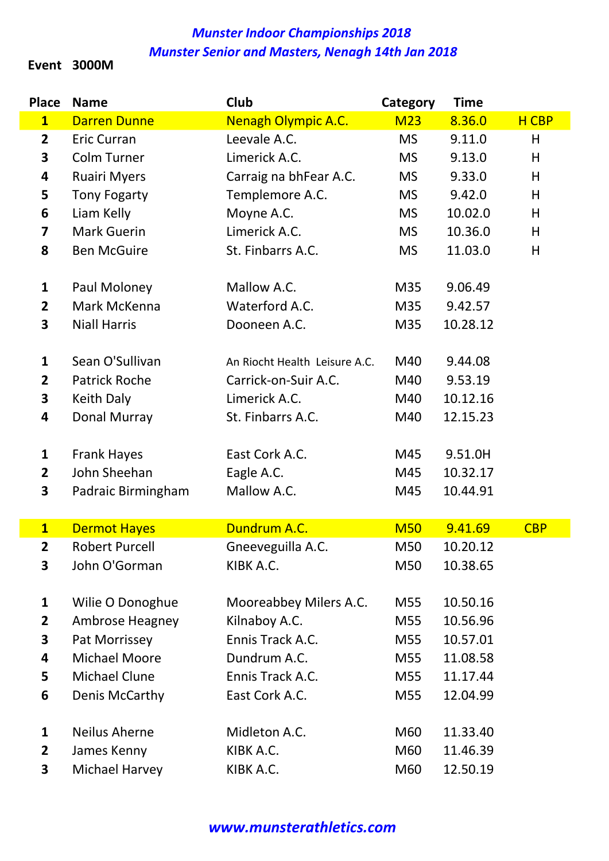#### Event 3000M

I

| <b>Place</b>            | <b>Name</b>                        | Club                          | Category   | <b>Time</b> |            |
|-------------------------|------------------------------------|-------------------------------|------------|-------------|------------|
| $\overline{\mathbf{1}}$ | <b>Darren Dunne</b>                | <b>Nenagh Olympic A.C.</b>    | <b>M23</b> | 8.36.0      | H CBP      |
| $\mathbf{2}$            | <b>Eric Curran</b>                 | Leevale A.C.                  | <b>MS</b>  | 9.11.0      | H          |
| 3                       | <b>Colm Turner</b>                 | Limerick A.C.                 | <b>MS</b>  | 9.13.0      | H          |
| 4                       | Ruairi Myers                       | Carraig na bhFear A.C.        | <b>MS</b>  | 9.33.0      | H          |
| 5                       | <b>Tony Fogarty</b>                | Templemore A.C.               | <b>MS</b>  | 9.42.0      | H          |
| 6                       | Liam Kelly                         | Moyne A.C.                    | <b>MS</b>  | 10.02.0     | H          |
| $\overline{\mathbf{z}}$ | <b>Mark Guerin</b>                 | Limerick A.C.                 | <b>MS</b>  | 10.36.0     | H          |
| 8                       | <b>Ben McGuire</b>                 | St. Finbarrs A.C.             | <b>MS</b>  | 11.03.0     | H          |
| 1                       | Paul Moloney                       | Mallow A.C.                   | M35        | 9.06.49     |            |
| $\overline{2}$          | Mark McKenna                       | Waterford A.C.                | M35        | 9.42.57     |            |
| 3                       | <b>Niall Harris</b>                | Dooneen A.C.                  | M35        | 10.28.12    |            |
|                         |                                    |                               |            |             |            |
| 1                       | Sean O'Sullivan                    | An Riocht Health Leisure A.C. | M40        | 9.44.08     |            |
| $\overline{2}$          | <b>Patrick Roche</b>               | Carrick-on-Suir A.C.          | M40        | 9.53.19     |            |
| 3                       | Keith Daly                         | Limerick A.C.                 | M40        | 10.12.16    |            |
| 4                       | Donal Murray                       | St. Finbarrs A.C.             | M40        | 12.15.23    |            |
| $\mathbf{1}$            |                                    | East Cork A.C.                | M45        | 9.51.0H     |            |
| $\mathbf{2}$            | <b>Frank Hayes</b><br>John Sheehan |                               | M45        | 10.32.17    |            |
| 3                       |                                    | Eagle A.C.<br>Mallow A.C.     | M45        | 10.44.91    |            |
|                         | Padraic Birmingham                 |                               |            |             |            |
| $\overline{\mathbf{1}}$ | <b>Dermot Hayes</b>                | Dundrum A.C.                  | <b>M50</b> | 9.41.69     | <b>CBP</b> |
| $\overline{\mathbf{2}}$ | <b>Robert Purcell</b>              | Gneeveguilla A.C.             | M50        | 10.20.12    |            |
| 3                       | John O'Gorman                      | KIBK A.C.                     | M50        | 10.38.65    |            |
| $\mathbf{1}$            | Wilie O Donoghue                   | Mooreabbey Milers A.C.        | M55        | 10.50.16    |            |
| $\overline{2}$          | <b>Ambrose Heagney</b>             | Kilnaboy A.C.                 | M55        | 10.56.96    |            |
| 3                       | Pat Morrissey                      | Ennis Track A.C.              | M55        | 10.57.01    |            |
| 4                       | Michael Moore                      | Dundrum A.C.                  | M55        | 11.08.58    |            |
| 5                       | <b>Michael Clune</b>               | Ennis Track A.C.              | M55        | 11.17.44    |            |
| 6                       | Denis McCarthy                     | East Cork A.C.                | M55        | 12.04.99    |            |
|                         |                                    |                               |            |             |            |
| $\mathbf{1}$            | <b>Neilus Aherne</b>               | Midleton A.C.                 | M60        | 11.33.40    |            |
| $\overline{2}$          | James Kenny                        | KIBK A.C.                     | M60        | 11.46.39    |            |
| 3                       | Michael Harvey                     | KIBK A.C.                     | M60        | 12.50.19    |            |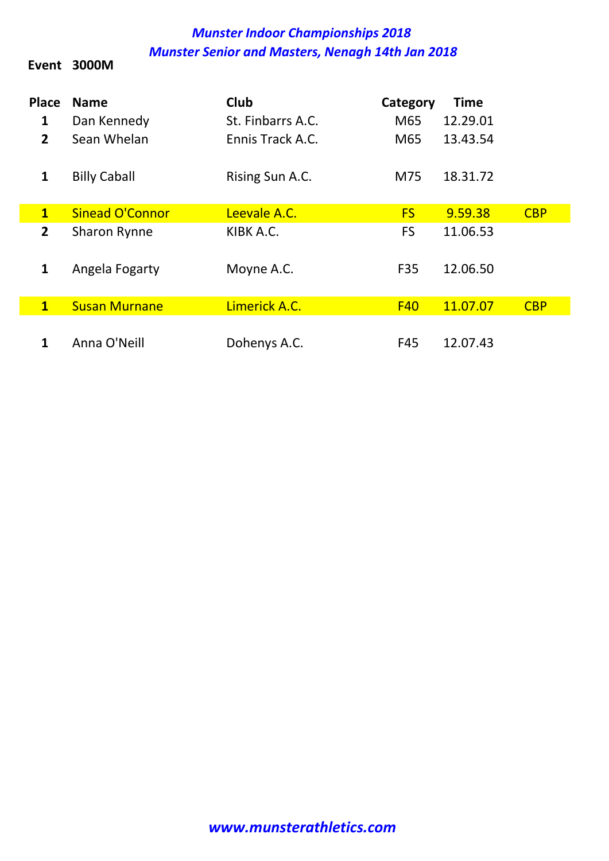Event 3000M

| <b>Place</b><br>1 | <b>Name</b><br>Dan Kennedy | <b>Club</b><br>St. Finbarrs A.C. | Category<br>M65 | <b>Time</b><br>12.29.01 |            |
|-------------------|----------------------------|----------------------------------|-----------------|-------------------------|------------|
| $\overline{2}$    | Sean Whelan                | Ennis Track A.C.                 | M65             | 13.43.54                |            |
| $\mathbf{1}$      | <b>Billy Caball</b>        | Rising Sun A.C.                  | M75             | 18.31.72                |            |
| $\mathbf{1}$      | <b>Sinead O'Connor</b>     | Leevale A.C.                     | <b>FS</b>       | 9.59.38                 | <b>CBP</b> |
| $\overline{2}$    | Sharon Rynne               | KIBK A.C.                        | <b>FS</b>       | 11.06.53                |            |
| $\mathbf{1}$      | Angela Fogarty             | Moyne A.C.                       | F <sub>35</sub> | 12.06.50                |            |
| $\mathbf{1}$      | <b>Susan Murnane</b>       | Limerick A.C.                    | <b>F40</b>      | 11.07.07                | <b>CBP</b> |
|                   | Anna O'Neill               | Dohenys A.C.                     | F45             | 12.07.43                |            |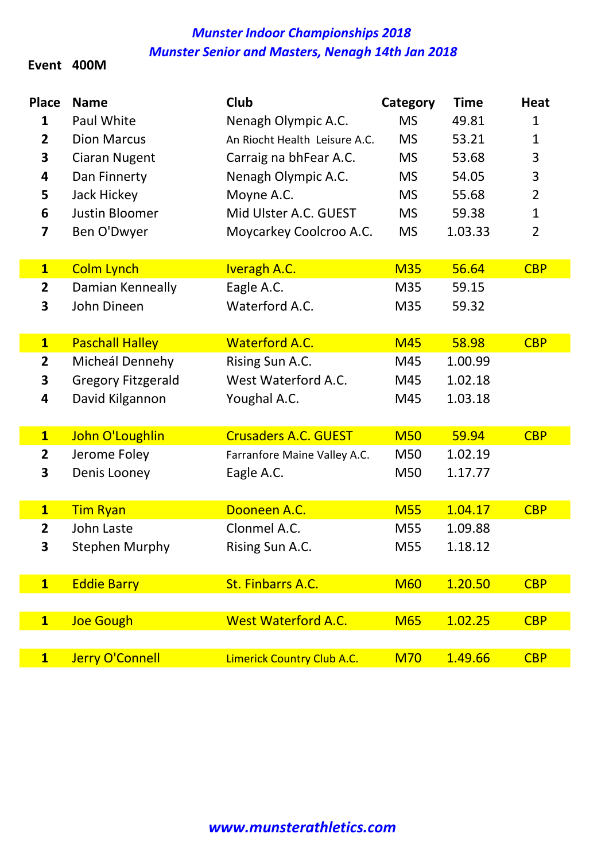#### Event 400M

| <b>Place</b><br>1<br>$\overline{2}$<br>3<br>4<br>5<br>6<br>7 | <b>Name</b><br>Paul White<br><b>Dion Marcus</b><br><b>Ciaran Nugent</b><br>Dan Finnerty<br>Jack Hickey<br><b>Justin Bloomer</b><br>Ben O'Dwyer | Club<br>Nenagh Olympic A.C.<br>An Riocht Health Leisure A.C.<br>Carraig na bhFear A.C.<br>Nenagh Olympic A.C.<br>Moyne A.C.<br>Mid Ulster A.C. GUEST<br>Moycarkey Coolcroo A.C. | Category<br><b>MS</b><br><b>MS</b><br><b>MS</b><br><b>MS</b><br><b>MS</b><br><b>MS</b><br><b>MS</b> | <b>Time</b><br>49.81<br>53.21<br>53.68<br>54.05<br>55.68<br>59.38<br>1.03.33 | <b>Heat</b><br>$\mathbf{1}$<br>$\mathbf{1}$<br>3<br>3<br>$\overline{2}$<br>$\mathbf{1}$<br>$\overline{2}$ |
|--------------------------------------------------------------|------------------------------------------------------------------------------------------------------------------------------------------------|---------------------------------------------------------------------------------------------------------------------------------------------------------------------------------|-----------------------------------------------------------------------------------------------------|------------------------------------------------------------------------------|-----------------------------------------------------------------------------------------------------------|
| $\mathbf{1}$                                                 | <b>Colm Lynch</b>                                                                                                                              | <b>Iveragh A.C.</b>                                                                                                                                                             | <b>M35</b>                                                                                          | 56.64                                                                        | <b>CBP</b>                                                                                                |
| $\mathbf{2}$                                                 | Damian Kenneally                                                                                                                               | Eagle A.C.                                                                                                                                                                      | M35                                                                                                 | 59.15                                                                        |                                                                                                           |
| 3                                                            | John Dineen                                                                                                                                    | Waterford A.C.                                                                                                                                                                  | M35                                                                                                 | 59.32                                                                        |                                                                                                           |
| $\mathbf{1}$                                                 | <b>Paschall Halley</b>                                                                                                                         | <b>Waterford A.C.</b>                                                                                                                                                           | <b>M45</b>                                                                                          | 58.98                                                                        | <b>CBP</b>                                                                                                |
| $\mathbf{2}$                                                 | Micheál Dennehy                                                                                                                                | Rising Sun A.C.                                                                                                                                                                 | M45                                                                                                 | 1.00.99                                                                      |                                                                                                           |
| 3                                                            | <b>Gregory Fitzgerald</b>                                                                                                                      | West Waterford A.C.                                                                                                                                                             | M45                                                                                                 | 1.02.18                                                                      |                                                                                                           |
| 4                                                            | David Kilgannon                                                                                                                                | Youghal A.C.                                                                                                                                                                    | M45                                                                                                 | 1.03.18                                                                      |                                                                                                           |
| $\mathbf{1}$                                                 | John O'Loughlin                                                                                                                                | <b>Crusaders A.C. GUEST</b>                                                                                                                                                     | <b>M50</b>                                                                                          | 59.94                                                                        | <b>CBP</b>                                                                                                |
| 2                                                            | Jerome Foley                                                                                                                                   | Farranfore Maine Valley A.C.                                                                                                                                                    | M50                                                                                                 | 1.02.19                                                                      |                                                                                                           |
| 3                                                            | Denis Looney                                                                                                                                   | Eagle A.C.                                                                                                                                                                      | M50                                                                                                 | 1.17.77                                                                      |                                                                                                           |
|                                                              |                                                                                                                                                |                                                                                                                                                                                 |                                                                                                     |                                                                              |                                                                                                           |
| $\mathbf{1}$                                                 | <b>Tim Ryan</b>                                                                                                                                | Dooneen A.C.                                                                                                                                                                    | <b>M55</b>                                                                                          | 1.04.17                                                                      | <b>CBP</b>                                                                                                |
| $\mathbf{2}$                                                 | John Laste                                                                                                                                     | Clonmel A.C.                                                                                                                                                                    | M55                                                                                                 | 1.09.88                                                                      |                                                                                                           |
| 3                                                            | <b>Stephen Murphy</b>                                                                                                                          | Rising Sun A.C.                                                                                                                                                                 | M55                                                                                                 | 1.18.12                                                                      |                                                                                                           |
| $\overline{\mathbf{1}}$                                      | <b>Eddie Barry</b>                                                                                                                             | St. Finbarrs A.C.                                                                                                                                                               | <b>M60</b>                                                                                          | 1.20.50                                                                      | <b>CBP</b>                                                                                                |
|                                                              |                                                                                                                                                |                                                                                                                                                                                 |                                                                                                     |                                                                              |                                                                                                           |
| $\overline{\mathbf{1}}$                                      | <b>Joe Gough</b>                                                                                                                               | <b>West Waterford A.C.</b>                                                                                                                                                      | <b>M65</b>                                                                                          | 1.02.25                                                                      | <b>CBP</b>                                                                                                |
|                                                              |                                                                                                                                                |                                                                                                                                                                                 |                                                                                                     |                                                                              |                                                                                                           |
| $\mathbf{1}$                                                 | <b>Jerry O'Connell</b>                                                                                                                         | Limerick Country Club A.C.                                                                                                                                                      | <b>M70</b>                                                                                          | 1.49.66                                                                      | <b>CBP</b>                                                                                                |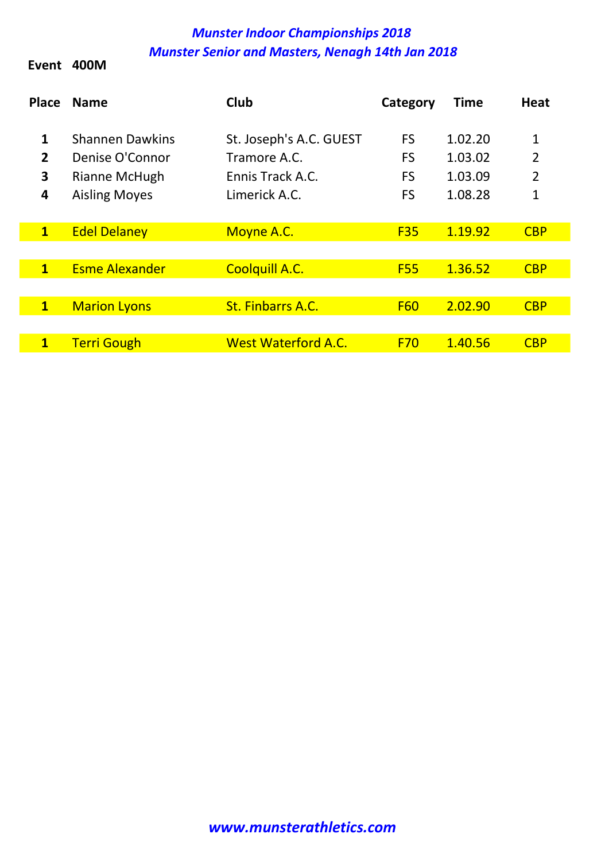Event 400M

| <b>Place</b>                  | <b>Name</b>                                                                        | Club                                                                         | Category                                         | <b>Time</b>                              | <b>Heat</b>                                           |
|-------------------------------|------------------------------------------------------------------------------------|------------------------------------------------------------------------------|--------------------------------------------------|------------------------------------------|-------------------------------------------------------|
| 1<br>$\overline{2}$<br>3<br>4 | <b>Shannen Dawkins</b><br>Denise O'Connor<br>Rianne McHugh<br><b>Aisling Moyes</b> | St. Joseph's A.C. GUEST<br>Tramore A.C.<br>Ennis Track A.C.<br>Limerick A.C. | <b>FS</b><br><b>FS</b><br><b>FS</b><br><b>FS</b> | 1.02.20<br>1.03.02<br>1.03.09<br>1.08.28 | 1<br>$\overline{2}$<br>$\overline{2}$<br>$\mathbf{1}$ |
| $\mathbf{1}$                  | <b>Edel Delaney</b>                                                                | Moyne A.C.                                                                   | <b>F35</b>                                       | 1.19.92                                  | <b>CBP</b>                                            |
|                               |                                                                                    |                                                                              |                                                  |                                          |                                                       |
| $\mathbf{1}$                  | <b>Esme Alexander</b>                                                              | <b>Coolquill A.C.</b>                                                        | <b>F55</b>                                       | 1.36.52                                  | <b>CBP</b>                                            |
|                               |                                                                                    |                                                                              |                                                  |                                          |                                                       |
| $\mathbf{1}$                  | <b>Marion Lyons</b>                                                                | <b>St. Finbarrs A.C.</b>                                                     | <b>F60</b>                                       | 2.02.90                                  | <b>CBP</b>                                            |
|                               |                                                                                    |                                                                              |                                                  |                                          |                                                       |
| $\overline{\mathbf{1}}$       | <b>Terri Gough</b>                                                                 | <b>West Waterford A.C.</b>                                                   | <b>F70</b>                                       | 1.40.56                                  | <b>CBP</b>                                            |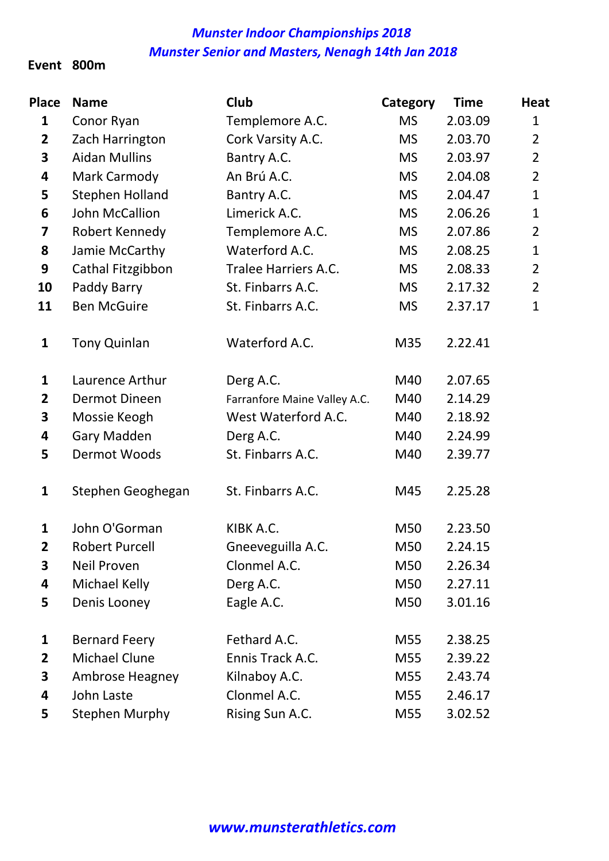#### Event 800m

| <b>Place</b>   | <b>Name</b>            | <b>Club</b>                  | Category  | <b>Time</b> | <b>Heat</b>    |
|----------------|------------------------|------------------------------|-----------|-------------|----------------|
| $\mathbf{1}$   | Conor Ryan             | Templemore A.C.              | <b>MS</b> | 2.03.09     | $\mathbf{1}$   |
| $\mathbf{2}$   | Zach Harrington        | Cork Varsity A.C.            | <b>MS</b> | 2.03.70     | $\overline{2}$ |
| 3              | <b>Aidan Mullins</b>   | Bantry A.C.                  | <b>MS</b> | 2.03.97     | $\overline{2}$ |
| 4              | Mark Carmody           | An Brú A.C.                  | <b>MS</b> | 2.04.08     | $\overline{2}$ |
| 5              | <b>Stephen Holland</b> | Bantry A.C.                  | <b>MS</b> | 2.04.47     | $\mathbf{1}$   |
| 6              | John McCallion         | Limerick A.C.                | <b>MS</b> | 2.06.26     | $\mathbf{1}$   |
| 7              | Robert Kennedy         | Templemore A.C.              | <b>MS</b> | 2.07.86     | $\overline{2}$ |
| 8              | Jamie McCarthy         | Waterford A.C.               | <b>MS</b> | 2.08.25     | $\mathbf{1}$   |
| 9              | Cathal Fitzgibbon      | Tralee Harriers A.C.         | <b>MS</b> | 2.08.33     | $\overline{2}$ |
| 10             | Paddy Barry            | St. Finbarrs A.C.            | <b>MS</b> | 2.17.32     | $\overline{2}$ |
| 11             | <b>Ben McGuire</b>     | St. Finbarrs A.C.            | <b>MS</b> | 2.37.17     | $\mathbf{1}$   |
| $\mathbf{1}$   | <b>Tony Quinlan</b>    | Waterford A.C.               | M35       | 2.22.41     |                |
| 1              | Laurence Arthur        | Derg A.C.                    | M40       | 2.07.65     |                |
| $\overline{2}$ | <b>Dermot Dineen</b>   | Farranfore Maine Valley A.C. | M40       | 2.14.29     |                |
| 3              | Mossie Keogh           | West Waterford A.C.          | M40       | 2.18.92     |                |
| 4              | <b>Gary Madden</b>     | Derg A.C.                    | M40       | 2.24.99     |                |
| 5              | Dermot Woods           | St. Finbarrs A.C.            | M40       | 2.39.77     |                |
| $\mathbf{1}$   | Stephen Geoghegan      | St. Finbarrs A.C.            | M45       | 2.25.28     |                |
| $\mathbf{1}$   | John O'Gorman          | KIBK A.C.                    | M50       | 2.23.50     |                |
| $\mathbf{2}$   | <b>Robert Purcell</b>  | Gneeveguilla A.C.            | M50       | 2.24.15     |                |
| 3              | Neil Proven            | Clonmel A.C.                 | M50       | 2.26.34     |                |
| 4              | Michael Kelly          | Derg A.C.                    | M50       | 2.27.11     |                |
| 5              | Denis Looney           | Eagle A.C.                   | M50       | 3.01.16     |                |
| 1              | <b>Bernard Feery</b>   | Fethard A.C.                 | M55       | 2.38.25     |                |
| $\mathbf{2}$   | Michael Clune          | Ennis Track A.C.             | M55       | 2.39.22     |                |
| 3              | Ambrose Heagney        | Kilnaboy A.C.                | M55       | 2.43.74     |                |
| 4              | John Laste             | Clonmel A.C.                 | M55       | 2.46.17     |                |
| 5              | <b>Stephen Murphy</b>  | Rising Sun A.C.              | M55       | 3.02.52     |                |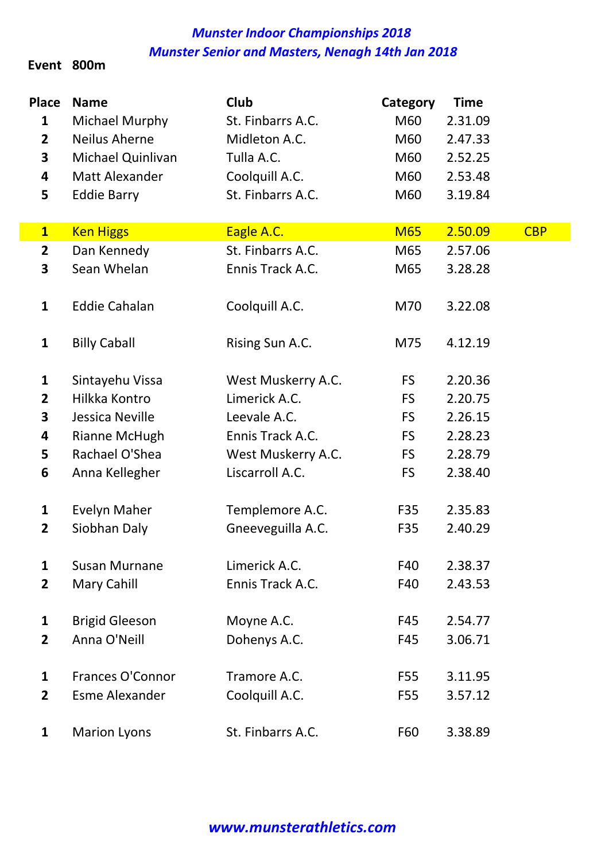#### Event 800m

| <b>Place</b>            | <b>Name</b>           | Club               | Category   | <b>Time</b> |            |
|-------------------------|-----------------------|--------------------|------------|-------------|------------|
| $\mathbf{1}$            | Michael Murphy        | St. Finbarrs A.C.  | M60        | 2.31.09     |            |
| $\overline{2}$          | <b>Neilus Aherne</b>  | Midleton A.C.      | M60        | 2.47.33     |            |
| 3                       | Michael Quinlivan     | Tulla A.C.         | M60        | 2.52.25     |            |
| 4                       | Matt Alexander        | Coolquill A.C.     | M60        | 2.53.48     |            |
| 5                       | <b>Eddie Barry</b>    | St. Finbarrs A.C.  | M60        | 3.19.84     |            |
|                         |                       |                    |            |             |            |
| $\overline{\mathbf{1}}$ | <b>Ken Higgs</b>      | Eagle A.C.         | <b>M65</b> | 2.50.09     | <b>CBP</b> |
| $\overline{2}$          | Dan Kennedy           | St. Finbarrs A.C.  | M65        | 2.57.06     |            |
| 3                       | Sean Whelan           | Ennis Track A.C.   | M65        | 3.28.28     |            |
| $\mathbf{1}$            | <b>Eddie Cahalan</b>  | Coolquill A.C.     | M70        | 3.22.08     |            |
|                         |                       |                    |            |             |            |
| $\mathbf{1}$            | <b>Billy Caball</b>   | Rising Sun A.C.    | M75        | 4.12.19     |            |
| $\mathbf{1}$            | Sintayehu Vissa       | West Muskerry A.C. | <b>FS</b>  | 2.20.36     |            |
| $\mathbf{2}$            | Hilkka Kontro         | Limerick A.C.      | <b>FS</b>  | 2.20.75     |            |
| 3                       | Jessica Neville       | Leevale A.C.       | <b>FS</b>  | 2.26.15     |            |
| 4                       | Rianne McHugh         | Ennis Track A.C.   | <b>FS</b>  | 2.28.23     |            |
| 5                       | Rachael O'Shea        | West Muskerry A.C. | <b>FS</b>  | 2.28.79     |            |
| 6                       | Anna Kellegher        | Liscarroll A.C.    | FS         | 2.38.40     |            |
| 1                       | <b>Evelyn Maher</b>   | Templemore A.C.    | F35        | 2.35.83     |            |
| $\mathbf{2}$            | Siobhan Daly          | Gneeveguilla A.C.  | F35        | 2.40.29     |            |
| $\mathbf{1}$            | <b>Susan Murnane</b>  | Limerick A.C.      | F40        | 2.38.37     |            |
| $\overline{2}$          | Mary Cahill           | Ennis Track A.C.   | F40        | 2.43.53     |            |
| 1                       | <b>Brigid Gleeson</b> | Moyne A.C.         | F45        | 2.54.77     |            |
| $\overline{2}$          | Anna O'Neill          | Dohenys A.C.       | F45        | 3.06.71     |            |
| $\mathbf{1}$            | Frances O'Connor      | Tramore A.C.       | F55        | 3.11.95     |            |
| $\overline{2}$          | <b>Esme Alexander</b> | Coolquill A.C.     | F55        | 3.57.12     |            |
| 1                       | <b>Marion Lyons</b>   | St. Finbarrs A.C.  | F60        | 3.38.89     |            |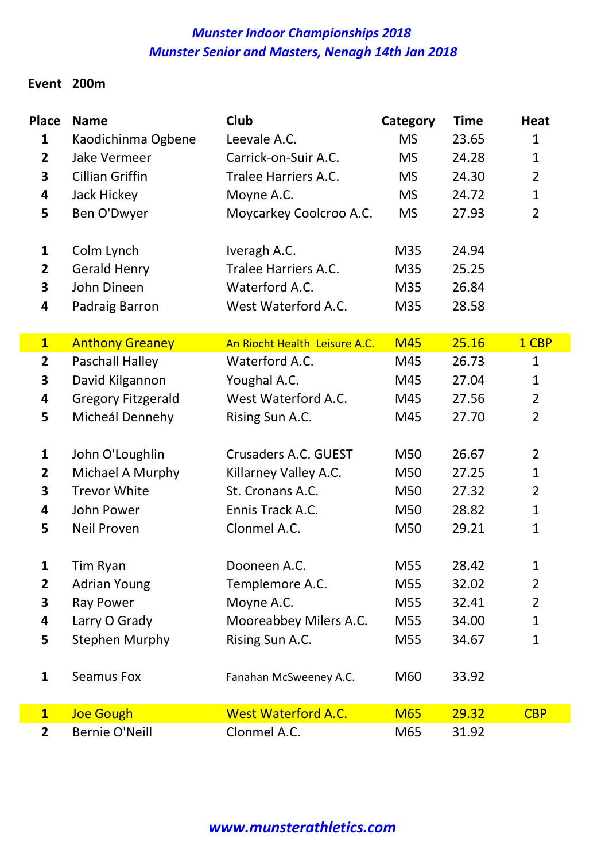#### Event 200m

| <b>Place</b>            | <b>Name</b>               | Club                          | Category   | <b>Time</b> | <b>Heat</b>    |
|-------------------------|---------------------------|-------------------------------|------------|-------------|----------------|
| $\mathbf{1}$            | Kaodichinma Ogbene        | Leevale A.C.                  | <b>MS</b>  | 23.65       | $\mathbf{1}$   |
| $\overline{2}$          | <b>Jake Vermeer</b>       | Carrick-on-Suir A.C.          | <b>MS</b>  | 24.28       | $\mathbf 1$    |
| 3                       | <b>Cillian Griffin</b>    | Tralee Harriers A.C.          | <b>MS</b>  | 24.30       | $\overline{2}$ |
| 4                       | Jack Hickey               | Moyne A.C.                    | <b>MS</b>  | 24.72       | $\mathbf{1}$   |
| 5                       | Ben O'Dwyer               | Moycarkey Coolcroo A.C.       | <b>MS</b>  | 27.93       | $\overline{2}$ |
| $\mathbf{1}$            | Colm Lynch                | Iveragh A.C.                  | M35        | 24.94       |                |
| $\overline{\mathbf{2}}$ | <b>Gerald Henry</b>       | Tralee Harriers A.C.          | M35        | 25.25       |                |
| 3                       | John Dineen               | Waterford A.C.                | M35        | 26.84       |                |
| 4                       | Padraig Barron            | West Waterford A.C.           | M35        | 28.58       |                |
| $\mathbf{1}$            | <b>Anthony Greaney</b>    | An Riocht Health Leisure A.C. | <b>M45</b> | 25.16       | 1 CBP          |
| $\mathbf{2}$            | Paschall Halley           | Waterford A.C.                | M45        | 26.73       | $\mathbf{1}$   |
| 3                       | David Kilgannon           | Youghal A.C.                  | M45        | 27.04       | $\mathbf{1}$   |
| 4                       | <b>Gregory Fitzgerald</b> | West Waterford A.C.           | M45        | 27.56       | $\overline{2}$ |
| 5                       | Micheál Dennehy           | Rising Sun A.C.               | M45        | 27.70       | $\overline{2}$ |
| $\mathbf{1}$            | John O'Loughlin           | Crusaders A.C. GUEST          | M50        | 26.67       | $\overline{2}$ |
| $\overline{\mathbf{2}}$ | Michael A Murphy          | Killarney Valley A.C.         | M50        | 27.25       | $\mathbf{1}$   |
| 3                       | <b>Trevor White</b>       | St. Cronans A.C.              | M50        | 27.32       | $\overline{2}$ |
| 4                       | John Power                | Ennis Track A.C.              | M50        | 28.82       | $\mathbf{1}$   |
| 5                       | Neil Proven               | Clonmel A.C.                  | M50        | 29.21       | $\mathbf{1}$   |
| $\mathbf{1}$            | Tim Ryan                  | Dooneen A.C.                  | M55        | 28.42       | 1              |
| $\overline{2}$          | <b>Adrian Young</b>       | Templemore A.C.               | M55        | 32.02       | $\overline{2}$ |
| 3                       | Ray Power                 | Moyne A.C.                    | M55        | 32.41       | $\overline{2}$ |
| 4                       | Larry O Grady             | Mooreabbey Milers A.C.        | M55        | 34.00       | $\mathbf{1}$   |
| 5                       | <b>Stephen Murphy</b>     | Rising Sun A.C.               | M55        | 34.67       | $\mathbf{1}$   |
| $\mathbf{1}$            | Seamus Fox                | Fanahan McSweeney A.C.        | M60        | 33.92       |                |
| $\mathbf{1}$            | <b>Joe Gough</b>          | <b>West Waterford A.C.</b>    | <b>M65</b> | 29.32       | <b>CBP</b>     |
| $\overline{2}$          | <b>Bernie O'Neill</b>     | Clonmel A.C.                  | M65        | 31.92       |                |

#### www.munsterathletics.com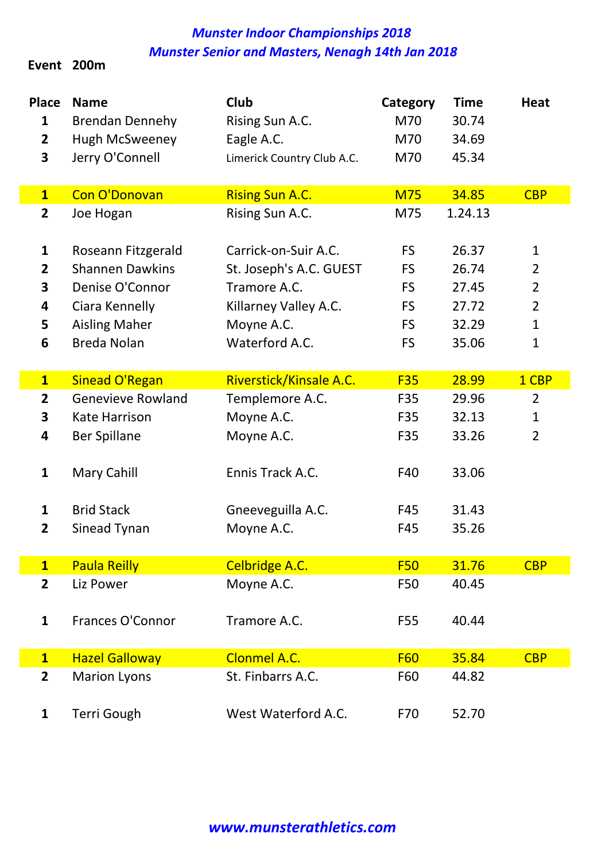#### Event 200m

| <b>Place</b><br>1<br>$\overline{\mathbf{2}}$<br>3 | <b>Name</b><br><b>Brendan Dennehy</b><br><b>Hugh McSweeney</b><br>Jerry O'Connell | Club<br>Rising Sun A.C.<br>Eagle A.C.<br>Limerick Country Club A.C. | Category<br>M70<br>M70<br>M70 | <b>Time</b><br>30.74<br>34.69<br>45.34 | <b>Heat</b>    |
|---------------------------------------------------|-----------------------------------------------------------------------------------|---------------------------------------------------------------------|-------------------------------|----------------------------------------|----------------|
| $\overline{\mathbf{1}}$                           | <b>Con O'Donovan</b>                                                              | <b>Rising Sun A.C.</b>                                              | <b>M75</b>                    | 34.85                                  | <b>CBP</b>     |
| $\overline{\mathbf{2}}$                           | Joe Hogan                                                                         | Rising Sun A.C.                                                     | M75                           | 1.24.13                                |                |
| 1                                                 | Roseann Fitzgerald                                                                | Carrick-on-Suir A.C.                                                | <b>FS</b>                     | 26.37                                  | $\mathbf{1}$   |
| $\overline{2}$                                    | <b>Shannen Dawkins</b>                                                            | St. Joseph's A.C. GUEST                                             | <b>FS</b>                     | 26.74                                  | $\overline{2}$ |
| 3                                                 | Denise O'Connor                                                                   | Tramore A.C.                                                        | <b>FS</b>                     | 27.45                                  | $\overline{2}$ |
| 4                                                 | Ciara Kennelly                                                                    | Killarney Valley A.C.                                               | <b>FS</b>                     | 27.72                                  | $\overline{2}$ |
| 5                                                 | <b>Aisling Maher</b>                                                              | Moyne A.C.                                                          | <b>FS</b>                     | 32.29                                  | $\mathbf{1}$   |
| 6                                                 | <b>Breda Nolan</b>                                                                | Waterford A.C.                                                      | <b>FS</b>                     | 35.06                                  | 1              |
|                                                   |                                                                                   |                                                                     |                               |                                        |                |
| $\overline{\mathbf{1}}$                           | <b>Sinead O'Regan</b>                                                             | Riverstick/Kinsale A.C.                                             | <b>F35</b>                    | 28.99                                  | 1 CBP          |
| $\overline{\mathbf{2}}$                           | <b>Genevieve Rowland</b>                                                          | Templemore A.C.                                                     | F35                           | 29.96                                  | $\overline{2}$ |
| 3                                                 | <b>Kate Harrison</b>                                                              | Moyne A.C.                                                          | F35                           | 32.13                                  | $\mathbf{1}$   |
| 4                                                 | <b>Ber Spillane</b>                                                               | Moyne A.C.                                                          | F35                           | 33.26                                  | $\overline{2}$ |
| $\mathbf{1}$                                      | Mary Cahill                                                                       | Ennis Track A.C.                                                    | F40                           | 33.06                                  |                |
| $\mathbf{1}$                                      | <b>Brid Stack</b>                                                                 | Gneeveguilla A.C.                                                   | F45                           | 31.43                                  |                |
| $\overline{2}$                                    | Sinead Tynan                                                                      | Moyne A.C.                                                          | F45                           | 35.26                                  |                |
| $\overline{\mathbf{1}}$                           | <b>Paula Reilly</b>                                                               | <b>Celbridge A.C.</b>                                               | <b>F50</b>                    | 31.76                                  | <b>CBP</b>     |
| $\overline{2}$                                    | Liz Power                                                                         | Moyne A.C.                                                          | F50                           | 40.45                                  |                |
| $\mathbf{1}$                                      | Frances O'Connor                                                                  | Tramore A.C.                                                        | F55                           | 40.44                                  |                |
| $\overline{\mathbf{1}}$                           | <b>Hazel Galloway</b>                                                             | <b>Clonmel A.C.</b>                                                 | <b>F60</b>                    | 35.84                                  | <b>CBP</b>     |
| $\overline{2}$                                    | <b>Marion Lyons</b>                                                               | St. Finbarrs A.C.                                                   | F60                           | 44.82                                  |                |
| 1                                                 | <b>Terri Gough</b>                                                                | West Waterford A.C.                                                 | F70                           | 52.70                                  |                |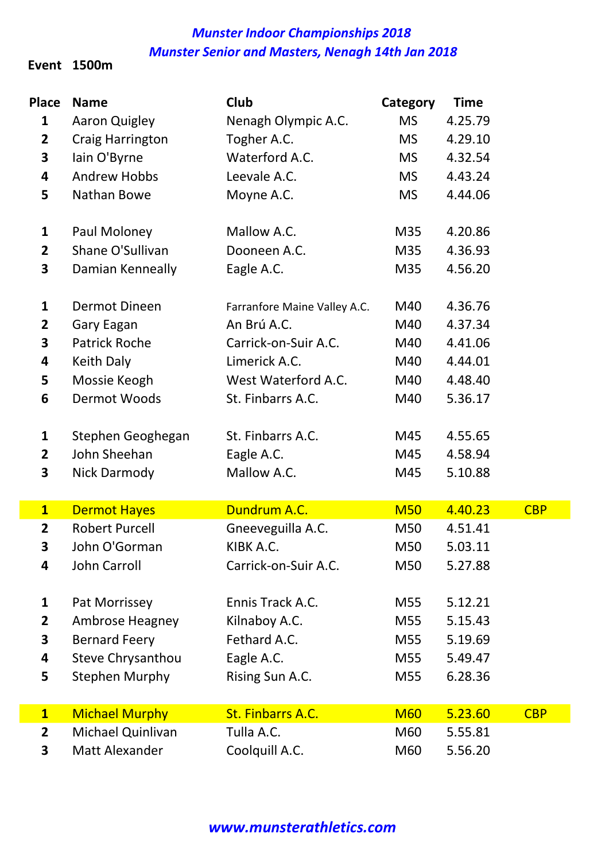#### Event 1500m

| <b>Place</b>            | <b>Name</b>              | Club                         | Category   | <b>Time</b> |            |
|-------------------------|--------------------------|------------------------------|------------|-------------|------------|
| $\mathbf{1}$            | <b>Aaron Quigley</b>     | Nenagh Olympic A.C.          | <b>MS</b>  | 4.25.79     |            |
| $\mathbf{2}$            | Craig Harrington         | Togher A.C.                  | <b>MS</b>  | 4.29.10     |            |
| 3                       | lain O'Byrne             | Waterford A.C.               | <b>MS</b>  | 4.32.54     |            |
| 4                       | <b>Andrew Hobbs</b>      | Leevale A.C.                 | <b>MS</b>  | 4.43.24     |            |
| 5                       | Nathan Bowe              | Moyne A.C.                   | <b>MS</b>  | 4.44.06     |            |
| $\mathbf{1}$            | Paul Moloney             | Mallow A.C.                  | M35        | 4.20.86     |            |
| $\overline{2}$          | Shane O'Sullivan         | Dooneen A.C.                 | M35        | 4.36.93     |            |
| 3                       | Damian Kenneally         | Eagle A.C.                   | M35        | 4.56.20     |            |
| $\mathbf{1}$            | Dermot Dineen            | Farranfore Maine Valley A.C. | M40        | 4.36.76     |            |
| $\mathbf{2}$            | Gary Eagan               | An Brú A.C.                  | M40        | 4.37.34     |            |
| 3                       | <b>Patrick Roche</b>     | Carrick-on-Suir A.C.         | M40        | 4.41.06     |            |
| 4                       | <b>Keith Daly</b>        | Limerick A.C.                | M40        | 4.44.01     |            |
| 5                       | Mossie Keogh             | West Waterford A.C.          | M40        | 4.48.40     |            |
| 6                       | Dermot Woods             | St. Finbarrs A.C.            | M40        | 5.36.17     |            |
| $\mathbf{1}$            | Stephen Geoghegan        | St. Finbarrs A.C.            | M45        | 4.55.65     |            |
| $\mathbf{2}$            | John Sheehan             | Eagle A.C.                   | M45        | 4.58.94     |            |
| 3                       | <b>Nick Darmody</b>      | Mallow A.C.                  | M45        | 5.10.88     |            |
| $\overline{\mathbf{1}}$ | <b>Dermot Hayes</b>      | Dundrum A.C.                 | <b>M50</b> | 4.40.23     | <b>CBP</b> |
| $\mathbf{2}$            | <b>Robert Purcell</b>    | Gneeveguilla A.C.            | M50        | 4.51.41     |            |
| 3                       | John O'Gorman            | KIBK A.C.                    | M50        | 5.03.11     |            |
| 4                       | John Carroll             | Carrick-on-Suir A.C.         | M50        | 5.27.88     |            |
| 1                       | Pat Morrissey            | Ennis Track A.C.             | M55        | 5.12.21     |            |
| $\mathbf{2}$            | Ambrose Heagney          | Kilnaboy A.C.                | M55        | 5.15.43     |            |
| 3                       | <b>Bernard Feery</b>     | Fethard A.C.                 | M55        | 5.19.69     |            |
| 4                       | <b>Steve Chrysanthou</b> | Eagle A.C.                   | M55        | 5.49.47     |            |
| 5                       | <b>Stephen Murphy</b>    | Rising Sun A.C.              | M55        | 6.28.36     |            |
| $\mathbf{1}$            | <b>Michael Murphy</b>    | St. Finbarrs A.C.            | <b>M60</b> | 5.23.60     | <b>CBP</b> |
| $\mathbf{2}$            | Michael Quinlivan        | Tulla A.C.                   | M60        | 5.55.81     |            |
| 3                       | Matt Alexander           | Coolquill A.C.               | M60        | 5.56.20     |            |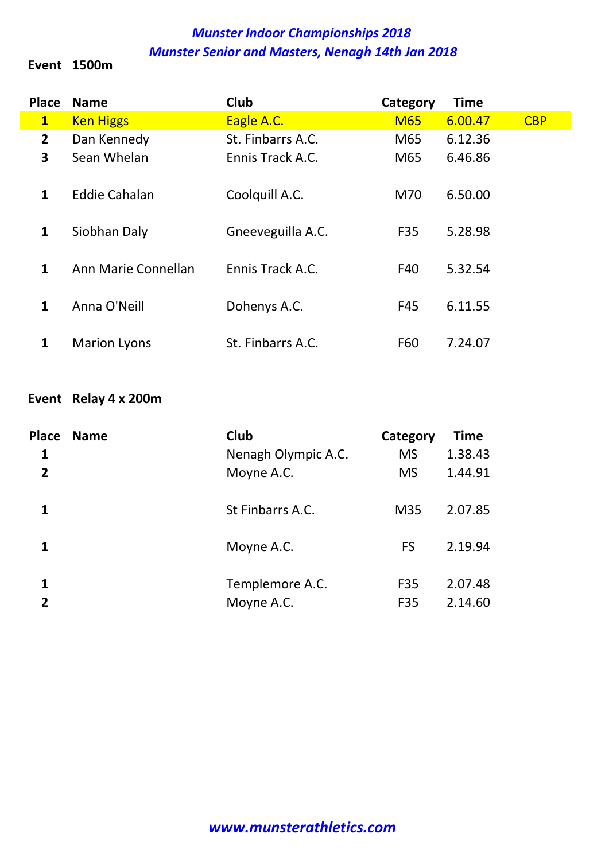#### Event 1500m

| <b>Place</b>   | <b>Name</b>          | Club              | Category   | <b>Time</b> |            |
|----------------|----------------------|-------------------|------------|-------------|------------|
| $\mathbf{1}$   | <b>Ken Higgs</b>     | Eagle A.C.        | <b>M65</b> | 6.00.47     | <b>CBP</b> |
| $\overline{2}$ | Dan Kennedy          | St. Finbarrs A.C. | M65        | 6.12.36     |            |
| 3              | Sean Whelan          | Ennis Track A.C.  | M65        | 6.46.86     |            |
| 1              | <b>Eddie Cahalan</b> | Coolquill A.C.    | M70        | 6.50.00     |            |
| $\mathbf{1}$   | Siobhan Daly         | Gneeveguilla A.C. | F35        | 5.28.98     |            |
| $\mathbf{1}$   | Ann Marie Connellan  | Ennis Track A.C.  | F40        | 5.32.54     |            |
| $\mathbf{1}$   | Anna O'Neill         | Dohenys A.C.      | F45        | 6.11.55     |            |
| 1              | <b>Marion Lyons</b>  | St. Finbarrs A.C. | F60        | 7.24.07     |            |

#### Event Relay 4 x 200m

| <b>Place</b>   | <b>Name</b> | Club                | Category  | <b>Time</b> |
|----------------|-------------|---------------------|-----------|-------------|
| 1              |             | Nenagh Olympic A.C. | <b>MS</b> | 1.38.43     |
| $\overline{2}$ |             | Moyne A.C.          | <b>MS</b> | 1.44.91     |
| 1              |             | St Finbarrs A.C.    | M35       | 2.07.85     |
| 1              |             | Moyne A.C.          | <b>FS</b> | 2.19.94     |
| 1              |             | Templemore A.C.     | F35       | 2.07.48     |
| 2              |             | Moyne A.C.          | F35       | 2.14.60     |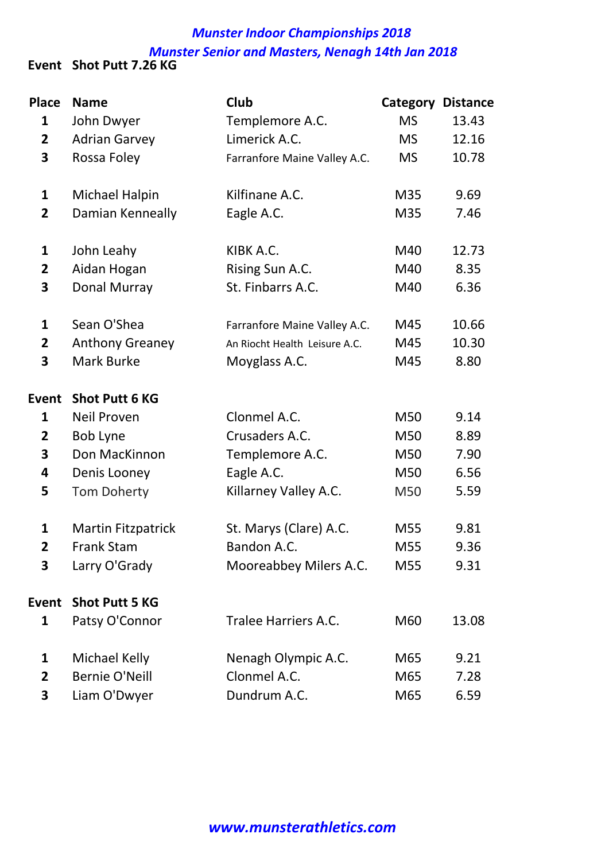#### Munster Indoor Championships 2018 Munster Senior and Masters, Nenagh 14th Jan 2018 Event Shot Putt 7.26 KG

| <b>Place</b>            | <b>Name</b>               | Club                          | Category  | <b>Distance</b> |
|-------------------------|---------------------------|-------------------------------|-----------|-----------------|
| $\mathbf{1}$            | John Dwyer                | Templemore A.C.               | <b>MS</b> | 13.43           |
| $\mathbf{2}$            | <b>Adrian Garvey</b>      | Limerick A.C.                 | <b>MS</b> | 12.16           |
| 3                       | Rossa Foley               | Farranfore Maine Valley A.C.  | <b>MS</b> | 10.78           |
| $\mathbf{1}$            | Michael Halpin            | Kilfinane A.C.                | M35       | 9.69            |
| $\overline{2}$          | Damian Kenneally          | Eagle A.C.                    | M35       | 7.46            |
| $\mathbf{1}$            | John Leahy                | KIBK A.C.                     | M40       | 12.73           |
| $\mathbf{2}$            | Aidan Hogan               | Rising Sun A.C.               | M40       | 8.35            |
| 3                       | Donal Murray              | St. Finbarrs A.C.             | M40       | 6.36            |
| $\mathbf{1}$            | Sean O'Shea               | Farranfore Maine Valley A.C.  | M45       | 10.66           |
| $\overline{\mathbf{2}}$ | <b>Anthony Greaney</b>    | An Riocht Health Leisure A.C. | M45       | 10.30           |
| 3                       | <b>Mark Burke</b>         | Moyglass A.C.                 | M45       | 8.80            |
| <b>Event</b>            | <b>Shot Putt 6 KG</b>     |                               |           |                 |
| $\mathbf{1}$            | <b>Neil Proven</b>        | Clonmel A.C.                  | M50       | 9.14            |
| $\overline{2}$          | Bob Lyne                  | Crusaders A.C.                | M50       | 8.89            |
| 3                       | Don MacKinnon             | Templemore A.C.               | M50       | 7.90            |
| 4                       | Denis Looney              | Eagle A.C.                    | M50       | 6.56            |
| 5                       | <b>Tom Doherty</b>        | Killarney Valley A.C.         | M50       | 5.59            |
| 1                       | <b>Martin Fitzpatrick</b> | St. Marys (Clare) A.C.        | M55       | 9.81            |
| $\overline{\mathbf{2}}$ | <b>Frank Stam</b>         | Bandon A.C.                   | M55       | 9.36            |
| 3                       | Larry O'Grady             | Mooreabbey Milers A.C.        | M55       | 9.31            |
| <b>Event</b>            | <b>Shot Putt 5 KG</b>     |                               |           |                 |
| 1                       | Patsy O'Connor            | Tralee Harriers A.C.          | M60       | 13.08           |
| 1                       | Michael Kelly             | Nenagh Olympic A.C.           | M65       | 9.21            |
| $\overline{2}$          | <b>Bernie O'Neill</b>     | Clonmel A.C.                  | M65       | 7.28            |
| 3                       | Liam O'Dwyer              | Dundrum A.C.                  | M65       | 6.59            |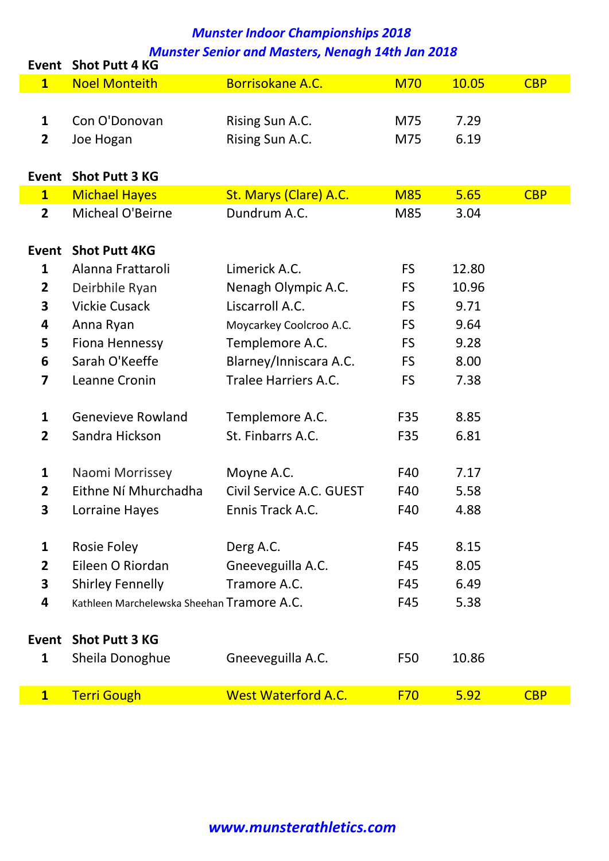| <b>Event</b>            | <b>Shot Putt 4 KG</b>                      |                             |            |       |            |
|-------------------------|--------------------------------------------|-----------------------------|------------|-------|------------|
| $\mathbf{1}$            | <b>Noel Monteith</b>                       | <b>Borrisokane A.C.</b>     | <b>M70</b> | 10.05 | <b>CBP</b> |
|                         |                                            |                             |            |       |            |
| $\mathbf{1}$            | Con O'Donovan                              | Rising Sun A.C.             | M75        | 7.29  |            |
| $\overline{2}$          | Joe Hogan                                  | Rising Sun A.C.             | M75        | 6.19  |            |
|                         |                                            |                             |            |       |            |
| <b>Event</b>            | <b>Shot Putt 3 KG</b>                      |                             |            |       |            |
| $\mathbf{1}$            | <b>Michael Hayes</b>                       | St. Marys (Clare) A.C.      | <b>M85</b> | 5.65  | <b>CBP</b> |
| $\overline{2}$          | Micheal O'Beirne                           | Dundrum A.C.                | M85        | 3.04  |            |
|                         |                                            |                             |            |       |            |
| <b>Event</b>            | <b>Shot Putt 4KG</b>                       |                             |            |       |            |
| 1                       | Alanna Frattaroli                          | Limerick A.C.               | <b>FS</b>  | 12.80 |            |
| $\overline{2}$          | Deirbhile Ryan                             | Nenagh Olympic A.C.         | <b>FS</b>  | 10.96 |            |
| $\overline{\mathbf{3}}$ | <b>Vickie Cusack</b>                       | Liscarroll A.C.             | <b>FS</b>  | 9.71  |            |
| 4                       | Anna Ryan                                  | Moycarkey Coolcroo A.C.     | <b>FS</b>  | 9.64  |            |
| 5                       | <b>Fiona Hennessy</b>                      | Templemore A.C.             | <b>FS</b>  | 9.28  |            |
| 6                       | Sarah O'Keeffe                             | Blarney/Inniscara A.C.      | <b>FS</b>  | 8.00  |            |
| 7                       | Leanne Cronin                              | <b>Tralee Harriers A.C.</b> | <b>FS</b>  | 7.38  |            |
|                         |                                            |                             |            |       |            |
| 1                       | <b>Genevieve Rowland</b>                   | Templemore A.C.             | F35        | 8.85  |            |
| $\overline{2}$          | Sandra Hickson                             | St. Finbarrs A.C.           | F35        | 6.81  |            |
|                         |                                            |                             |            |       |            |
| 1                       | Naomi Morrissey                            | Moyne A.C.                  | F40        | 7.17  |            |
| $\mathbf{2}$            | Eithne Ní Mhurchadha                       | Civil Service A.C. GUEST    | F40        | 5.58  |            |
| 3                       | Lorraine Hayes                             | Ennis Track A.C.            | F40        | 4.88  |            |
|                         |                                            |                             |            |       |            |
| $\mathbf 1$             | <b>Rosie Foley</b>                         | Derg A.C.                   | F45        | 8.15  |            |
| $\overline{2}$          | Eileen O Riordan                           | Gneeveguilla A.C.           | F45        | 8.05  |            |
| 3                       | <b>Shirley Fennelly</b>                    | Tramore A.C.                | F45        | 6.49  |            |
| 4                       | Kathleen Marchelewska Sheehan Tramore A.C. |                             | F45        | 5.38  |            |
|                         |                                            |                             |            |       |            |
| Event                   | <b>Shot Putt 3 KG</b>                      |                             |            |       |            |
| $\mathbf{1}$            | Sheila Donoghue                            | Gneeveguilla A.C.           | F50        | 10.86 |            |
|                         |                                            |                             |            |       |            |
| $\mathbf{1}$            | <b>Terri Gough</b>                         | <b>West Waterford A.C.</b>  | <b>F70</b> | 5.92  | <b>CBP</b> |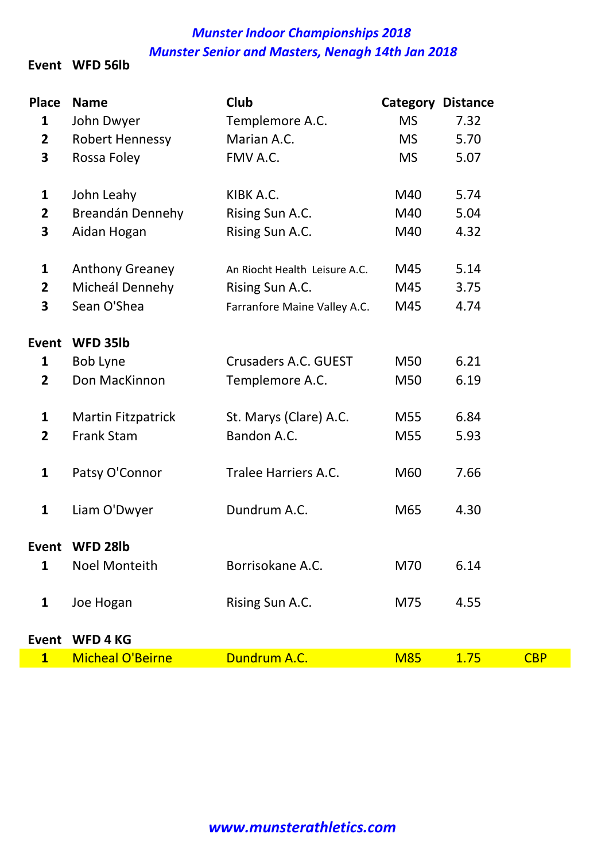Event WFD 56lb

| <b>Place</b>            | <b>Name</b>               | Club                          |            | <b>Category Distance</b> |            |
|-------------------------|---------------------------|-------------------------------|------------|--------------------------|------------|
| $\mathbf{1}$            | John Dwyer                | Templemore A.C.               | <b>MS</b>  | 7.32                     |            |
| $\mathbf{2}$            | <b>Robert Hennessy</b>    | Marian A.C.                   | <b>MS</b>  | 5.70                     |            |
| 3                       | Rossa Foley               | FMV A.C.                      | <b>MS</b>  | 5.07                     |            |
| $\mathbf{1}$            | John Leahy                | KIBK A.C.                     | M40        | 5.74                     |            |
| $\overline{\mathbf{2}}$ | Breandán Dennehy          | Rising Sun A.C.               | M40        | 5.04                     |            |
| 3                       | Aidan Hogan               | Rising Sun A.C.               | M40        | 4.32                     |            |
| $\mathbf{1}$            | <b>Anthony Greaney</b>    | An Riocht Health Leisure A.C. | M45        | 5.14                     |            |
| $\mathbf{2}$            | Micheál Dennehy           | Rising Sun A.C.               | M45        | 3.75                     |            |
| 3                       | Sean O'Shea               | Farranfore Maine Valley A.C.  | M45        | 4.74                     |            |
| <b>Event</b>            | WFD 35lb                  |                               |            |                          |            |
| 1                       | <b>Bob Lyne</b>           | Crusaders A.C. GUEST          | M50        | 6.21                     |            |
| $\overline{2}$          | Don MacKinnon             | Templemore A.C.               | M50        | 6.19                     |            |
| 1                       | <b>Martin Fitzpatrick</b> | St. Marys (Clare) A.C.        | M55        | 6.84                     |            |
| $\overline{2}$          | <b>Frank Stam</b>         | Bandon A.C.                   | M55        | 5.93                     |            |
| $\mathbf{1}$            | Patsy O'Connor            | Tralee Harriers A.C.          | M60        | 7.66                     |            |
| $\mathbf{1}$            | Liam O'Dwyer              | Dundrum A.C.                  | M65        | 4.30                     |            |
| Fvent                   | WFD 28lb                  |                               |            |                          |            |
| $\mathbf{1}$            | <b>Noel Monteith</b>      | Borrisokane A.C.              | M70        | 6.14                     |            |
| 1                       | Joe Hogan                 | Rising Sun A.C.               | M75        | 4.55                     |            |
| <b>Event</b>            | <b>WFD4KG</b>             |                               |            |                          |            |
| $\overline{\mathbf{1}}$ | <b>Micheal O'Beirne</b>   | Dundrum A.C.                  | <b>M85</b> | 1.75                     | <b>CBP</b> |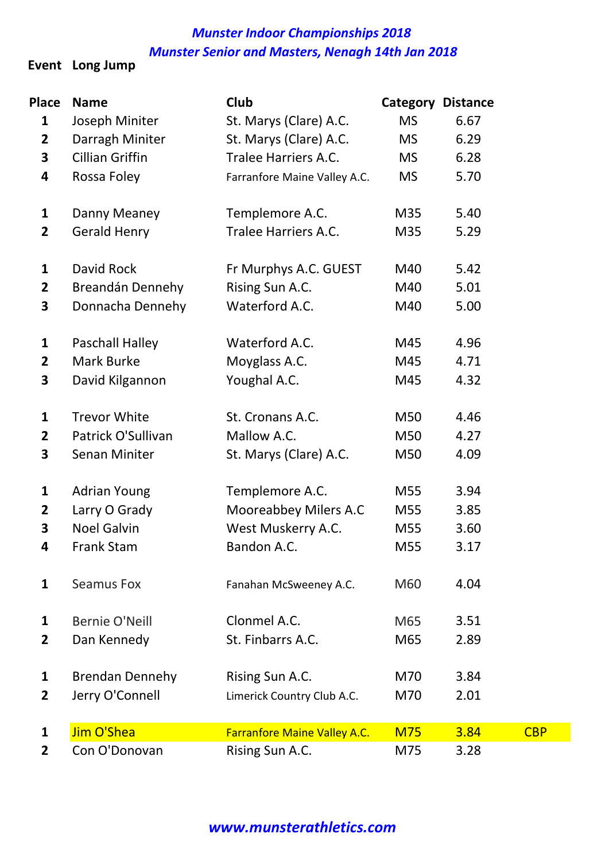Event Long Jump

| <b>Place</b>            | <b>Name</b>            | Club                                | <b>Category Distance</b> |      |            |
|-------------------------|------------------------|-------------------------------------|--------------------------|------|------------|
| 1                       | Joseph Miniter         | St. Marys (Clare) A.C.              | <b>MS</b>                | 6.67 |            |
| $\overline{\mathbf{2}}$ | Darragh Miniter        | St. Marys (Clare) A.C.              | <b>MS</b>                | 6.29 |            |
| 3                       | <b>Cillian Griffin</b> | Tralee Harriers A.C.                | <b>MS</b>                | 6.28 |            |
| 4                       | Rossa Foley            | Farranfore Maine Valley A.C.        | <b>MS</b>                | 5.70 |            |
| 1                       | Danny Meaney           | Templemore A.C.                     | M35                      | 5.40 |            |
| $\mathbf{2}$            | <b>Gerald Henry</b>    | <b>Tralee Harriers A.C.</b>         | M35                      | 5.29 |            |
| $\mathbf{1}$            | David Rock             | Fr Murphys A.C. GUEST               | M40                      | 5.42 |            |
| $\overline{2}$          | Breandán Dennehy       | Rising Sun A.C.                     | M40                      | 5.01 |            |
| 3                       | Donnacha Dennehy       | Waterford A.C.                      | M40                      | 5.00 |            |
| 1                       | Paschall Halley        | Waterford A.C.                      | M45                      | 4.96 |            |
| $\overline{2}$          | <b>Mark Burke</b>      | Moyglass A.C.                       | M45                      | 4.71 |            |
| 3                       | David Kilgannon        | Youghal A.C.                        | M45                      | 4.32 |            |
| $\mathbf{1}$            | <b>Trevor White</b>    | St. Cronans A.C.                    | M50                      | 4.46 |            |
| $\mathbf{2}$            | Patrick O'Sullivan     | Mallow A.C.                         | M50                      | 4.27 |            |
| 3                       | <b>Senan Miniter</b>   | St. Marys (Clare) A.C.              | M50                      | 4.09 |            |
| 1                       | <b>Adrian Young</b>    | Templemore A.C.                     | M55                      | 3.94 |            |
| $\mathbf{2}$            | Larry O Grady          | Mooreabbey Milers A.C               | M55                      | 3.85 |            |
| 3                       | <b>Noel Galvin</b>     | West Muskerry A.C.                  | M55                      | 3.60 |            |
| 4                       | Frank Stam             | Bandon A.C.                         | M55                      | 3.17 |            |
| 1                       | <b>Seamus Fox</b>      | Fanahan McSweeney A.C.              | M60                      | 4.04 |            |
| 1                       | <b>Bernie O'Neill</b>  | Clonmel A.C.                        | M65                      | 3.51 |            |
| $\mathbf{2}$            | Dan Kennedy            | St. Finbarrs A.C.                   | M65                      | 2.89 |            |
| 1                       | <b>Brendan Dennehy</b> | Rising Sun A.C.                     | M70                      | 3.84 |            |
| $\mathbf{2}$            | Jerry O'Connell        | Limerick Country Club A.C.          | M70                      | 2.01 |            |
| $\mathbf{1}$            | Jim O'Shea             | <b>Farranfore Maine Valley A.C.</b> | <b>M75</b>               | 3.84 | <b>CBP</b> |
| 2                       | Con O'Donovan          | Rising Sun A.C.                     | M75                      | 3.28 |            |

#### www.munsterathletics.com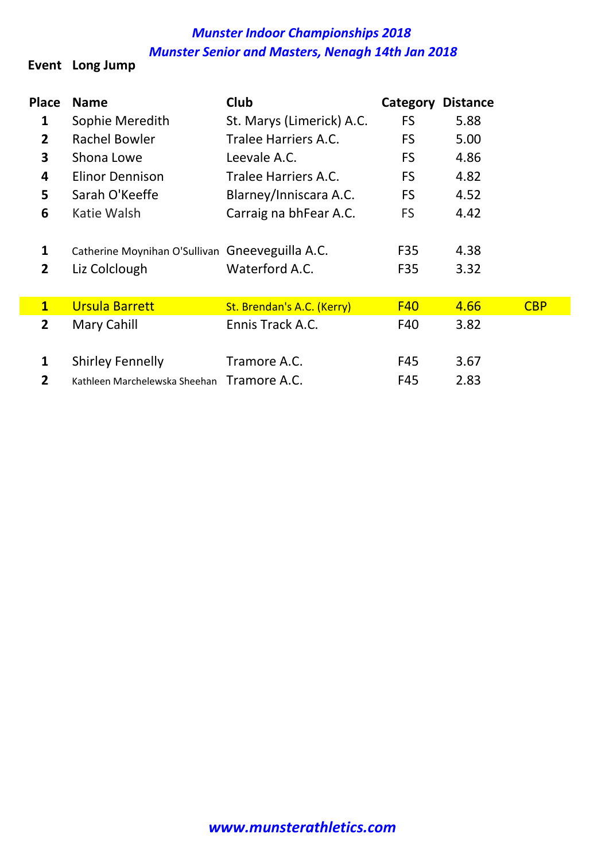#### Event Long Jump

| <b>Place</b>   | <b>Name</b>                                     | <b>Club</b>                | Category   | <b>Distance</b> |            |
|----------------|-------------------------------------------------|----------------------------|------------|-----------------|------------|
| 1              | Sophie Meredith                                 | St. Marys (Limerick) A.C.  | <b>FS</b>  | 5.88            |            |
| $\overline{2}$ | Rachel Bowler                                   | Tralee Harriers A.C.       | FS.        | 5.00            |            |
| 3              | Shona Lowe                                      | Leevale A.C.               | FS         | 4.86            |            |
| 4              | <b>Elinor Dennison</b>                          | Tralee Harriers A.C.       | FS.        | 4.82            |            |
| 5              | Sarah O'Keeffe                                  | Blarney/Inniscara A.C.     | FS.        | 4.52            |            |
| 6              | Katie Walsh                                     | Carraig na bhFear A.C.     | FS.        | 4.42            |            |
| 1              | Catherine Moynihan O'Sullivan Gneeveguilla A.C. |                            | F35        | 4.38            |            |
| 2              | Liz Colclough                                   | Waterford A.C.             | F35        | 3.32            |            |
| $\mathbf{1}$   | <b>Ursula Barrett</b>                           | St. Brendan's A.C. (Kerry) | <b>F40</b> | 4.66            | <b>CBP</b> |
| $\mathbf{2}$   | Mary Cahill                                     | Ennis Track A.C.           | F40        | 3.82            |            |
| $\mathbf{1}$   | <b>Shirley Fennelly</b>                         | Tramore A.C.               | F45        | 3.67            |            |
| $\overline{2}$ | Kathleen Marchelewska Sheehan Tramore A.C.      |                            | F45        | 2.83            |            |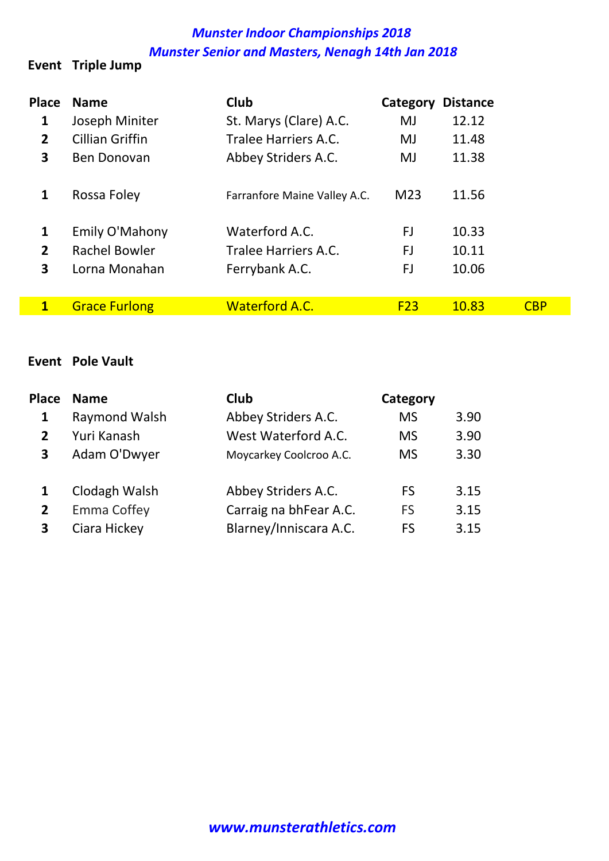#### Event Triple Jump

| <b>Place</b>   | <b>Name</b>          | <b>Club</b>                  | Category        | <b>Distance</b> |            |
|----------------|----------------------|------------------------------|-----------------|-----------------|------------|
| 1              | Joseph Miniter       | St. Marys (Clare) A.C.       | MJ              | 12.12           |            |
| $\mathbf{2}$   | Cillian Griffin      | <b>Tralee Harriers A.C.</b>  | MJ              | 11.48           |            |
| 3              | <b>Ben Donovan</b>   | Abbey Striders A.C.          | MJ              | 11.38           |            |
|                | Rossa Foley          | Farranfore Maine Valley A.C. | M <sub>23</sub> | 11.56           |            |
| 1              | Emily O'Mahony       | Waterford A.C.               | FJ              | 10.33           |            |
| $\overline{2}$ | <b>Rachel Bowler</b> | Tralee Harriers A.C.         | FJ              | 10.11           |            |
| 3              | Lorna Monahan        | Ferrybank A.C.               | FJ              | 10.06           |            |
|                |                      |                              |                 |                 |            |
| 1              | <b>Grace Furlong</b> | <b>Waterford A.C.</b>        | F23             | 10.83           | <b>CBP</b> |

#### Event Pole Vault

| <b>Place</b> | <b>Name</b>   | <b>Club</b>             | Category  |      |
|--------------|---------------|-------------------------|-----------|------|
| 1            | Raymond Walsh | Abbey Striders A.C.     | <b>MS</b> | 3.90 |
| $\mathbf{2}$ | Yuri Kanash   | West Waterford A.C.     | <b>MS</b> | 3.90 |
| 3            | Adam O'Dwyer  | Moycarkey Coolcroo A.C. | <b>MS</b> | 3.30 |
|              | Clodagh Walsh | Abbey Striders A.C.     | FS        | 3.15 |
| $\mathbf{2}$ | Emma Coffey   | Carraig na bhFear A.C.  | FS        | 3.15 |
| 3            | Ciara Hickey  | Blarney/Inniscara A.C.  | FS        | 3.15 |